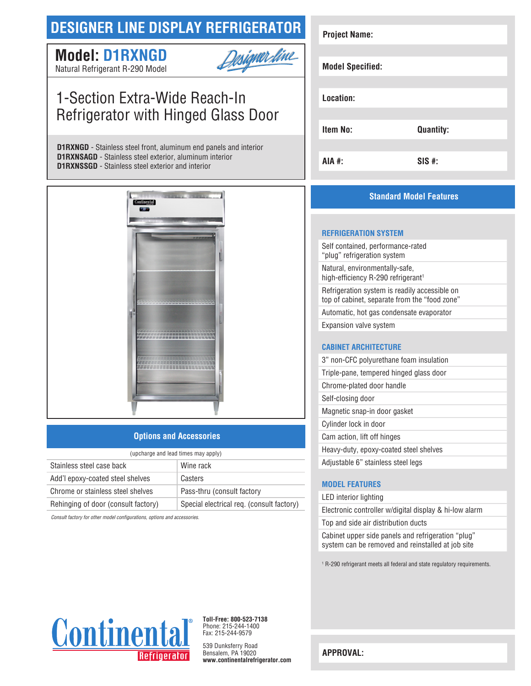# **DESIGNER LINE DISPLAY REFRIGERATOR**

# **Model: D1RXNGD**



Natural Refrigerant R-290 Model

# 1-Section Extra-Wide Reach-In Refrigerator with Hinged Glass Door

**D1RXNGD** - Stainless steel front, aluminum end panels and interior **D1RXNSAGD** - Stainless steel exterior, aluminum interior **D1RXNSSGD** - Stainless steel exterior and interior



## **Options and Accessories**

| (upcharge and lead times may apply) |                                           |  |
|-------------------------------------|-------------------------------------------|--|
| Stainless steel case back           | Wine rack                                 |  |
| Add'l epoxy-coated steel shelves    | Casters                                   |  |
| Chrome or stainless steel shelves   | Pass-thru (consult factory                |  |
| Rehinging of door (consult factory) | Special electrical req. (consult factory) |  |
|                                     |                                           |  |

*Consult factory for other model configurations, options and accessories.*

| <b>Project Name:</b>    |                  |
|-------------------------|------------------|
| <b>Model Specified:</b> |                  |
| Location:               |                  |
| <b>Item No:</b>         | <b>Quantity:</b> |
| AIA #:                  | $SIS$ #:         |

## **Standard Model Features**

#### **REFRIGERATION SYSTEM**

Self contained, performance-rated "plug" refrigeration system Natural, environmentally-safe, high-efficiency R-290 refrigerant<sup>1</sup> Refrigeration system is readily accessible on top of cabinet, separate from the "food zone" Automatic, hot gas condensate evaporator Expansion valve system

### **CABINET ARCHITECTURE**

| 3" non-CFC polyurethane foam insulation |
|-----------------------------------------|
| Triple-pane, tempered hinged glass door |
| Chrome-plated door handle               |
| Self-closing door                       |
| Magnetic snap-in door gasket            |
| Cylinder lock in door                   |
| Cam action, lift off hinges             |
| Heavy-duty, epoxy-coated steel shelves  |
| Adjustable 6" stainless steel legs      |

### **MODEL FEATURES**

LED interior lighting

Electronic controller w/digital display & hi-low alarm Top and side air distribution ducts

Cabinet upper side panels and refrigeration "plug" system can be removed and reinstalled at job site

1 R-290 refrigerant meets all federal and state regulatory requirements.



**Toll-Free: 800-523-7138** Phone: 215-244-1400 Fax: 215-244-9579

539 Dunksferry Road Bensalem, PA 19020 **www.continentalrefrigerator.com** 

**APPROVAL:**